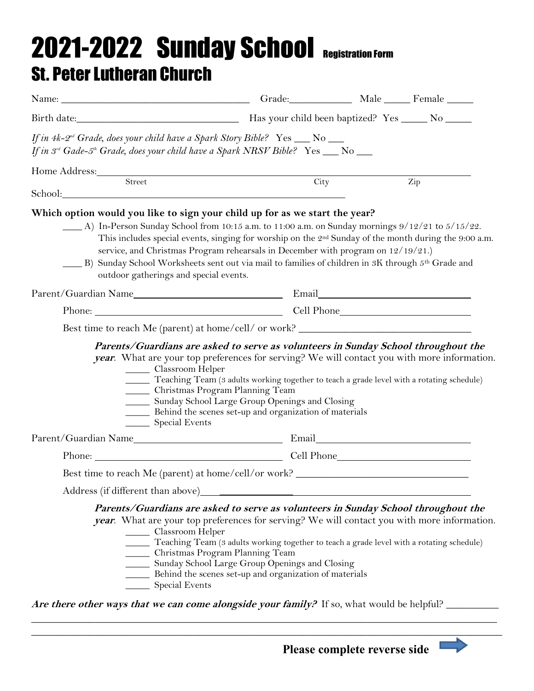## 2021-2022 Sunday School Registration Form St. Peter Lutheran Church

| If in 4k-2 <sup>nd</sup> Grade, does your child have a Spark Story Bible? Yes $\_\_\_\$ No $\_\_\_\$<br>If in 3rd Gade-5th Grade, does your child have a Spark NRSV Bible? Yes __ No __                                                                                                                                                                                                                                                                                                                                                                                              |                                                                                                                                                                                                                                |  |     |  |
|--------------------------------------------------------------------------------------------------------------------------------------------------------------------------------------------------------------------------------------------------------------------------------------------------------------------------------------------------------------------------------------------------------------------------------------------------------------------------------------------------------------------------------------------------------------------------------------|--------------------------------------------------------------------------------------------------------------------------------------------------------------------------------------------------------------------------------|--|-----|--|
|                                                                                                                                                                                                                                                                                                                                                                                                                                                                                                                                                                                      | City                                                                                                                                                                                                                           |  |     |  |
|                                                                                                                                                                                                                                                                                                                                                                                                                                                                                                                                                                                      |                                                                                                                                                                                                                                |  | Zip |  |
| Which option would you like to sign your child up for as we start the year?<br>A) In-Person Sunday School from 10:15 a.m. to 11:00 a.m. on Sunday mornings 9/12/21 to 5/15/22.<br>This includes special events, singing for worship on the 2 <sup>nd</sup> Sunday of the month during the 9:00 a.m.<br>service, and Christmas Program rehearsals in December with program on 12/19/21.)<br>B) Sunday School Worksheets sent out via mail to families of children in 3K through 5th Grade and<br>outdoor gatherings and special events.                                               |                                                                                                                                                                                                                                |  |     |  |
|                                                                                                                                                                                                                                                                                                                                                                                                                                                                                                                                                                                      |                                                                                                                                                                                                                                |  |     |  |
|                                                                                                                                                                                                                                                                                                                                                                                                                                                                                                                                                                                      | Phone: Cell Phone Cell Phone Cell Phone Cell Phone Cell Phone Cell Phone Cell Phone Cell Phone Cell Phone Cell Phone Cell Phone Cell Phone Cell Phone Cell Phone Cell Phone Cell Phone Cell Phone Cell Phone Cell Phone Cell P |  |     |  |
| Best time to reach Me (parent) at home/cell/ or work? __________________________<br>Parents/Guardians are asked to serve as volunteers in Sunday School throughout the<br>year. What are your top preferences for serving? We will contact you with more information.<br>______ Classroom Helper<br>Teaching Team (3 adults working together to teach a grade level with a rotating schedule)<br>_____ Christmas Program Planning Team<br>_____ Sunday School Large Group Openings and Closing<br>Behind the scenes set-up and organization of materials<br>Special Events           |                                                                                                                                                                                                                                |  |     |  |
|                                                                                                                                                                                                                                                                                                                                                                                                                                                                                                                                                                                      |                                                                                                                                                                                                                                |  |     |  |
|                                                                                                                                                                                                                                                                                                                                                                                                                                                                                                                                                                                      | Phone: Cell Phone Cell Phone                                                                                                                                                                                                   |  |     |  |
| Best time to reach Me (parent) at home/cell/or work? ___________________________                                                                                                                                                                                                                                                                                                                                                                                                                                                                                                     |                                                                                                                                                                                                                                |  |     |  |
| Address (if different than above)                                                                                                                                                                                                                                                                                                                                                                                                                                                                                                                                                    |                                                                                                                                                                                                                                |  |     |  |
| Parents/Guardians are asked to serve as volunteers in Sunday School throughout the<br>year. What are your top preferences for serving? We will contact you with more information.<br>______ Classroom Helper<br>Teaching Team (3 adults working together to teach a grade level with a rotating schedule)<br>_____ Christmas Program Planning Team<br>_____ Sunday School Large Group Openings and Closing<br>Behind the scenes set-up and organization of materials<br>Special Events<br>Are there other ways that we can come alongside your family? If so, what would be helpful? |                                                                                                                                                                                                                                |  |     |  |

\_\_\_\_\_\_\_\_\_\_\_\_\_\_\_\_\_\_\_\_\_\_\_\_\_\_\_\_\_\_\_\_\_\_\_\_\_\_\_\_\_\_\_\_\_\_\_\_\_\_\_\_\_\_\_\_\_\_\_\_\_\_\_\_\_\_\_\_\_\_\_\_\_\_\_\_\_\_\_\_\_\_\_\_\_\_\_\_\_  $\_$  , and the contribution of the contribution of  $\mathcal{L}$  , and  $\mathcal{L}$  , and  $\mathcal{L}$  , and  $\mathcal{L}$  , and  $\mathcal{L}$